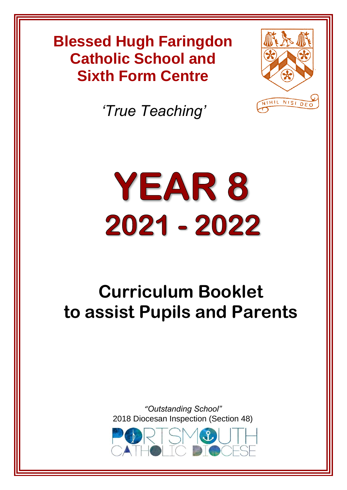# **Blessed Hugh Faringdon Blessed Hugh Faringdon Catholic School Catholic School and Sixth Form Centre**



*'True Teaching'*

# YEAR 8 2021 - 2022

# **Curriculum Booklet to assist Pupils and Parents**

*"Outstanding School"* [2018 Diocesan Inspection \(Section 48\)](https://www.google.co.uk/url?sa=i&rct=j&q=&esrc=s&source=images&cd=&cad=rja&uact=8&ved=2ahUKEwjLmcTXlvHbAhWJtRQKHZKnD6kQjRx6BAgBEAU&url=http://stswithuns.org.uk/event/eventtrinity-pilgrimage-poland-ukraine-lithuania-september-2018/&psig=AOvVaw2lr_wkmo01g66zHT0bqfR8&ust=1530097275705111)

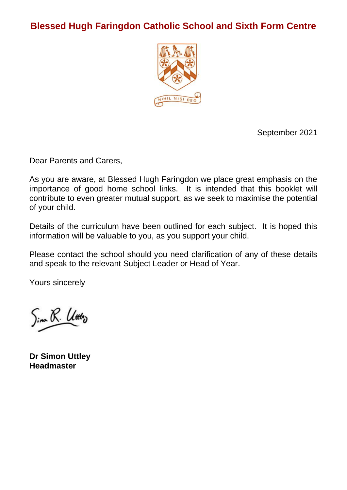# **Blessed Hugh Faringdon Catholic School and Sixth Form Centre**



September 2021

Dear Parents and Carers,

As you are aware, at Blessed Hugh Faringdon we place great emphasis on the importance of good home school links. It is intended that this booklet will contribute to even greater mutual support, as we seek to maximise the potential of your child.

Details of the curriculum have been outlined for each subject. It is hoped this information will be valuable to you, as you support your child.

Please contact the school should you need clarification of any of these details and speak to the relevant Subject Leader or Head of Year.

Yours sincerely

Sim R. Utto

**Dr Simon Uttley Headmaster**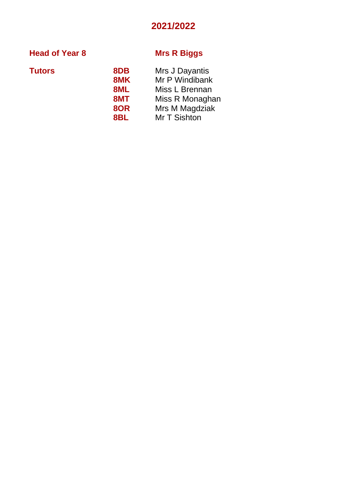# **2021/2022**

# **Head of Year 8 Mrs R Biggs**

| Tutors | 8DB | Mrs J Dayantis  |  |
|--------|-----|-----------------|--|
|        | 8MK | Mr P Windibank  |  |
|        | 8ML | Miss L Brennan  |  |
|        | 8MT | Miss R Monaghan |  |
|        | 8OR | Mrs M Magdziak  |  |
|        | 8BL | Mr T Sishton    |  |
|        |     |                 |  |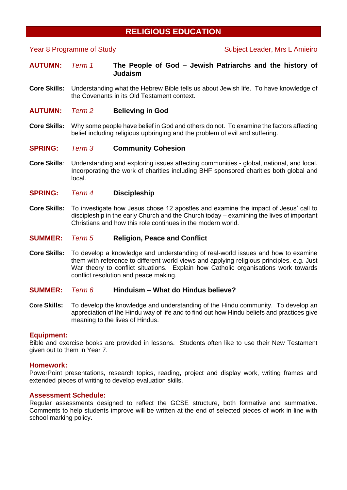# **RELIGIOUS EDUCATION**

# Year 8 Programme of Study Subject Leader, Mrs L Amieiro

**AUTUMN:** *Term 1* **The People of God – Jewish Patriarchs and the history of Judaism**

- **Core Skills:** Understanding what the Hebrew Bible tells us about Jewish life. To have knowledge of the Covenants in its Old Testament context.
- **AUTUMN:** *Term 2* **Believing in God**
- **Core Skills:** Why some people have belief in God and others do not. To examine the factors affecting belief including religious upbringing and the problem of evil and suffering.

# **SPRING:** *Term 3* **Community Cohesion**

- **Core Skills**: Understanding and exploring issues affecting communities global, national, and local. Incorporating the work of charities including BHF sponsored charities both global and local.
- **SPRING:** *Term 4* **Discipleship**
- **Core Skills:** To investigate how Jesus chose 12 apostles and examine the impact of Jesus' call to discipleship in the early Church and the Church today – examining the lives of important Christians and how this role continues in the modern world.

# **SUMMER:** *Term 5* **Religion, Peace and Conflict**

**Core Skills:** To develop a knowledge and understanding of real-world issues and how to examine them with reference to different world views and applying religious principles, e.g. Just War theory to conflict situations. Explain how Catholic organisations work towards conflict resolution and peace making.

# **SUMMER:** *Term 6* **Hinduism – What do Hindus believe?**

**Core Skills:** To develop the knowledge and understanding of the Hindu community. To develop an appreciation of the Hindu way of life and to find out how Hindu beliefs and practices give meaning to the lives of Hindus.

# **Equipment:**

Bible and exercise books are provided in lessons. Students often like to use their New Testament given out to them in Year 7.

## **Homework:**

PowerPoint presentations, research topics, reading, project and display work, writing frames and extended pieces of writing to develop evaluation skills.

# **Assessment Schedule:**

Regular assessments designed to reflect the GCSE structure, both formative and summative. Comments to help students improve will be written at the end of selected pieces of work in line with school marking policy.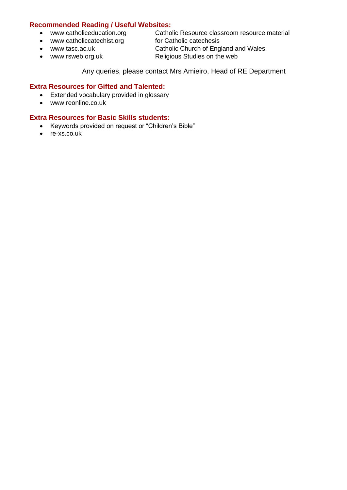# **Recommended Reading / Useful Websites:**

- [www.catholiceducation.org](http://www.catholiceducation.org/) Catholic Resource classroom resource material
- [www.catholiccatechist.org](http://www.catholiccatechist.org/) for Catholic catechesis
- 
- 
- [www.tasc.ac.uk](http://www.tasc.ac.uk/) Catholic Church of England and Wales
- [www.rsweb.org.uk](http://www.rsweb.org.uk/) Religious Studies on the web

Any queries, please contact Mrs Amieiro, Head of RE Department

# **Extra Resources for Gifted and Talented:**

- Extended vocabulary provided in glossary
- [www.reonline.co.uk](http://www.reonline.co.uk/)

# **Extra Resources for Basic Skills students:**

- Keywords provided on request or "Children's Bible"
- re-xs.co.uk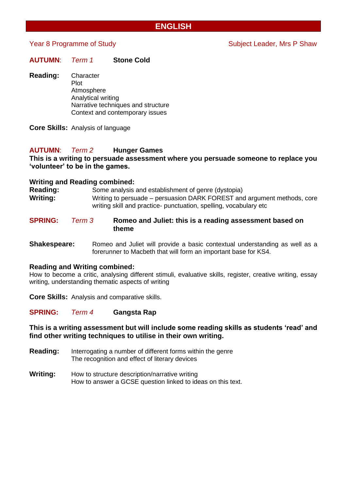# **ENGLISH**

# Year 8 Programme of Study Network Subject Leader, Mrs P Shaw

| <b>AUTUMN:</b> | Term 1 | <b>Stone Cold</b> |
|----------------|--------|-------------------|
|                |        |                   |

**Reading:** Character Plot Atmosphere Analytical writing Narrative techniques and structure Context and contemporary issues

**Core Skills:** Analysis of language

# **AUTUMN**: *Term 2* **Hunger Games**

# **This is a writing to persuade assessment where you persuade someone to replace you 'volunteer' to be in the games.**

# **Writing and Reading combined:**

**Reading:** Some analysis and establishment of genre (dystopia) **Writing:** Writing to persuade – persuasion DARK FOREST and argument methods, core writing skill and practice- punctuation, spelling, vocabulary etc

# **SPRING:** *Term 3* **Romeo and Juliet: this is a reading assessment based on theme**

**Shakespeare:** Romeo and Juliet will provide a basic contextual understanding as well as a forerunner to Macbeth that will form an important base for KS4.

# **Reading and Writing combined:**

How to become a critic, analysing different stimuli, evaluative skills, register, creative writing, essay writing, understanding thematic aspects of writing

**Core Skills:** Analysis and comparative skills.

# **SPRING:** *Term 4* **Gangsta Rap**

# **This is a writing assessment but will include some reading skills as students 'read' and find other writing techniques to utilise in their own writing.**

- **Reading:** Interrogating a number of different forms within the genre The recognition and effect of literary devices
- **Writing:** How to structure description/narrative writing How to answer a GCSE question linked to ideas on this text.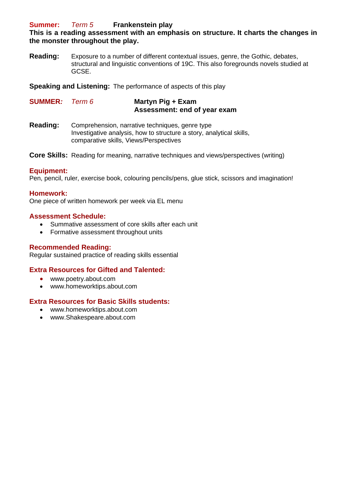# **Summer:** *Term 5* **Frankenstein play**

# **This is a reading assessment with an emphasis on structure. It charts the changes in the monster throughout the play.**

**Reading:** Exposure to a number of different contextual issues, genre, the Gothic, debates, structural and linguistic conventions of 19C. This also foregrounds novels studied at GCSE.

**Speaking and Listening:** The performance of aspects of this play

**SUMMER***: Term 6* **Martyn Pig + Exam Assessment: end of year exam**

**Reading:** Comprehension, narrative techniques, genre type Investigative analysis, how to structure a story, analytical skills, comparative skills, Views/Perspectives

**Core Skills:** Reading for meaning, narrative techniques and views/perspectives (writing)

# **Equipment:**

Pen, pencil, ruler, exercise book, colouring pencils/pens, glue stick, scissors and imagination!

# **Homework:**

One piece of written homework per week via EL menu

# **Assessment Schedule:**

- Summative assessment of core skills after each unit
- Formative assessment throughout units

# **Recommended Reading:**

Regular sustained practice of reading skills essential

# **Extra Resources for Gifted and Talented:**

- www.poetry.about.com
- www.homeworktips.about.com

# **Extra Resources for Basic Skills students:**

- www.homeworktips.about.com
- www.Shakespeare.about.com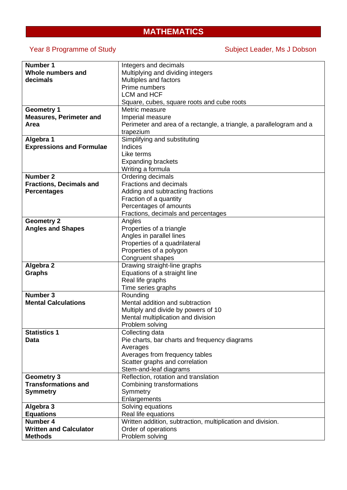# **MATHEMATICS**

Year 8 Programme of Study Subject Leader, Ms J Dobson

| <b>Number 1</b>                 | Integers and decimals                                                |  |
|---------------------------------|----------------------------------------------------------------------|--|
| Whole numbers and               | Multiplying and dividing integers                                    |  |
| decimals                        | Multiples and factors                                                |  |
|                                 | Prime numbers                                                        |  |
|                                 | <b>LCM and HCF</b>                                                   |  |
|                                 | Square, cubes, square roots and cube roots                           |  |
| <b>Geometry 1</b>               | Metric measure                                                       |  |
| <b>Measures, Perimeter and</b>  | Imperial measure                                                     |  |
| Area                            | Perimeter and area of a rectangle, a triangle, a parallelogram and a |  |
|                                 | trapezium                                                            |  |
| Algebra 1                       | Simplifying and substituting                                         |  |
| <b>Expressions and Formulae</b> | <b>Indices</b>                                                       |  |
|                                 | Like terms                                                           |  |
|                                 |                                                                      |  |
|                                 | <b>Expanding brackets</b>                                            |  |
|                                 | Writing a formula                                                    |  |
| <b>Number 2</b>                 | Ordering decimals                                                    |  |
| <b>Fractions, Decimals and</b>  | <b>Fractions and decimals</b>                                        |  |
| <b>Percentages</b>              | Adding and subtracting fractions                                     |  |
|                                 | Fraction of a quantity                                               |  |
|                                 | Percentages of amounts                                               |  |
|                                 | Fractions, decimals and percentages                                  |  |
| <b>Geometry 2</b>               | Angles                                                               |  |
| <b>Angles and Shapes</b>        | Properties of a triangle                                             |  |
|                                 | Angles in parallel lines                                             |  |
|                                 | Properties of a quadrilateral                                        |  |
|                                 | Properties of a polygon                                              |  |
|                                 | Congruent shapes                                                     |  |
| Algebra 2                       | Drawing straight-line graphs                                         |  |
| <b>Graphs</b>                   | Equations of a straight line                                         |  |
|                                 | Real life graphs                                                     |  |
|                                 | Time series graphs                                                   |  |
| <b>Number 3</b>                 | Rounding                                                             |  |
| <b>Mental Calculations</b>      | Mental addition and subtraction                                      |  |
|                                 | Multiply and divide by powers of 10                                  |  |
|                                 | Mental multiplication and division                                   |  |
|                                 | Problem solving                                                      |  |
| <b>Statistics 1</b>             | Collecting data                                                      |  |
| Data                            | Pie charts, bar charts and frequency diagrams                        |  |
|                                 | Averages                                                             |  |
|                                 | Averages from frequency tables                                       |  |
|                                 | Scatter graphs and correlation                                       |  |
|                                 | Stem-and-leaf diagrams                                               |  |
| <b>Geometry 3</b>               | Reflection, rotation and translation                                 |  |
| <b>Transformations and</b>      |                                                                      |  |
|                                 | Combining transformations                                            |  |
| <b>Symmetry</b>                 | Symmetry                                                             |  |
|                                 | Enlargements                                                         |  |
| Algebra 3                       | Solving equations                                                    |  |
| <b>Equations</b>                | Real life equations                                                  |  |
| <b>Number 4</b>                 | Written addition, subtraction, multiplication and division.          |  |
| <b>Written and Calculator</b>   | Order of operations                                                  |  |
| <b>Methods</b>                  | Problem solving                                                      |  |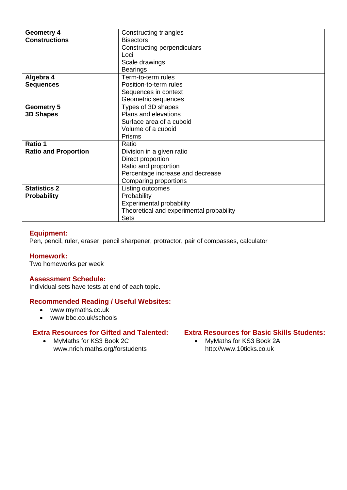| <b>Geometry 4</b>           | Constructing triangles                   |
|-----------------------------|------------------------------------------|
| <b>Constructions</b>        | <b>Bisectors</b>                         |
|                             | Constructing perpendiculars              |
|                             | Loci                                     |
|                             | Scale drawings                           |
|                             | <b>Bearings</b>                          |
| Algebra 4                   | Term-to-term rules                       |
| <b>Sequences</b>            | Position-to-term rules                   |
|                             | Sequences in context                     |
|                             | Geometric sequences                      |
| <b>Geometry 5</b>           | Types of 3D shapes                       |
| <b>3D Shapes</b>            | Plans and elevations                     |
|                             | Surface area of a cuboid                 |
|                             | Volume of a cuboid                       |
|                             | <b>Prisms</b>                            |
| Ratio 1                     | Ratio                                    |
| <b>Ratio and Proportion</b> | Division in a given ratio                |
|                             | Direct proportion                        |
|                             | Ratio and proportion                     |
|                             | Percentage increase and decrease         |
|                             | Comparing proportions                    |
| <b>Statistics 2</b>         | Listing outcomes                         |
| <b>Probability</b>          | Probability                              |
|                             | <b>Experimental probability</b>          |
|                             | Theoretical and experimental probability |
|                             | Sets                                     |

# **Equipment:**

Pen, pencil, ruler, eraser, pencil sharpener, protractor, pair of compasses, calculator

# **Homework:**

Two homeworks per week

# **Assessment Schedule:**

Individual sets have tests at end of each topic.

# **Recommended Reading / Useful Websites:**

- www.mymaths.co.uk
- www.bbc.co.uk/schools

# **Extra Resources for Gifted and Talented:**

• MyMaths for KS3 Book 2C www.nrich.maths.org/forstudents

# **Extra Resources for Basic Skills Students:**

• MyMaths for KS3 Book 2A http://www.10ticks.co.uk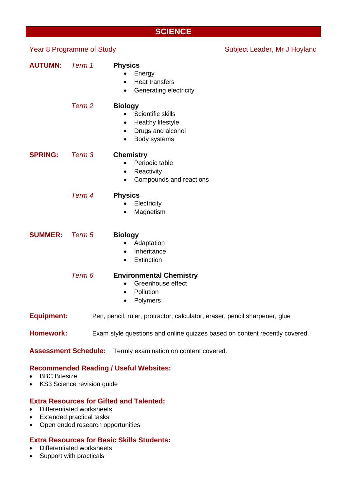# **SCIENCE**

| <b>Year 8 Programme of Study</b> |                   |                                                                                                                                           | Subject Leader, Mr J Hoyland |
|----------------------------------|-------------------|-------------------------------------------------------------------------------------------------------------------------------------------|------------------------------|
| <b>AUTUMN:</b>                   | Term 1            | <b>Physics</b><br>Energy<br><b>Heat transfers</b><br>$\bullet$<br>Generating electricity<br>$\bullet$                                     |                              |
|                                  | Term <sub>2</sub> | <b>Biology</b><br>Scientific skills<br>$\bullet$<br>Healthy lifestyle<br>٠<br>Drugs and alcohol<br>$\bullet$<br>Body systems<br>$\bullet$ |                              |
| <b>SPRING:</b>                   | Term 3            | <b>Chemistry</b><br>Periodic table<br>$\bullet$<br>Reactivity<br>٠<br>Compounds and reactions<br>$\bullet$                                |                              |
|                                  | Term 4            | <b>Physics</b><br>Electricity<br>Magnetism                                                                                                |                              |
| <b>SUMMER:</b>                   | Term 5            | <b>Biology</b><br>Adaptation<br>Inheritance<br>$\bullet$<br>Extinction<br>$\bullet$                                                       |                              |
|                                  | Term 6            | <b>Environmental Chemistry</b><br>Greenhouse effect<br>$\bullet$<br>Pollution<br>$\bullet$<br>Polymers                                    |                              |
| <b>Equipment:</b>                |                   | Pen, pencil, ruler, protractor, calculator, eraser, pencil sharpener, glue                                                                |                              |
| <b>Homework:</b>                 |                   | Exam style questions and online quizzes based on content recently covered.                                                                |                              |
| <b>Assessment Schedule:</b>      |                   | Termly examination on content covered.                                                                                                    |                              |

# **Recommended Reading / Useful Websites:**

- BBC Bitesize
- KS3 Science revision guide

# **Extra Resources for Gifted and Talented:**

- Differentiated worksheets
- Extended practical tasks
- Open ended research opportunities

# **Extra Resources for Basic Skills Students:**

- Differentiated worksheets
- Support with practicals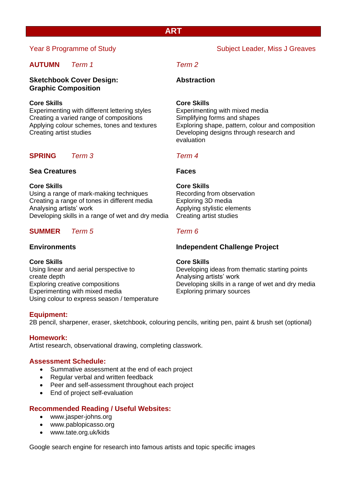# **AUTUMN** *Term 1 Term 2*

# **Sketchbook Cover Design: Abstraction Graphic Composition**

# **Core Skills Core Skills**

Experimenting with different lettering styles Experimenting with mixed media Creating a varied range of compositions Simplifying forms and shapes Creating artist studies Developing designs through research and

# **SPRING** *Term 3 Term 4*

# **Sea Creatures Faces**

**Core Skills Core Skills** Using a range of mark-making techniques Recording from observation Creating a range of tones in different media Exploring 3D media Analysing artists' work and a structure of the Applying stylistic elements Developing skills in a range of wet and dry media Creating artist studies

# **SUMMER** *Term 5 Term 6*

**Core Skills Core Skills** create depth Analysing artists' work Experimenting with mixed media Exploring primary sources Using colour to express season / temperature

# **Equipment:**

2B pencil, sharpener, eraser, sketchbook, colouring pencils, writing pen, paint & brush set (optional)

# **Homework:**

Artist research, observational drawing, completing classwork.

# **Assessment Schedule:**

- Summative assessment at the end of each project
- Regular verbal and written feedback
- Peer and self-assessment throughout each project
- End of project self-evaluation

# **Recommended Reading / Useful Websites:**

- [www.jasper-johns.org](http://www.jasper-johns.org/)
- [www.pablopicasso.org](http://www.pablopicasso.org/)
- [www.tate.org.uk/kids](http://www.tate.org.uk/kids)

Google search engine for research into famous artists and topic specific images

# Year 8 Programme of Study Network Subject Leader, Miss J Greaves

Applying colour schemes, tones and textures Exploring shape, pattern, colour and composition evaluation

# **Environments Independent Challenge Project**

Using linear and aerial perspective to Developing ideas from thematic starting points Exploring creative compositions Developing skills in a range of wet and dry media

# **ART**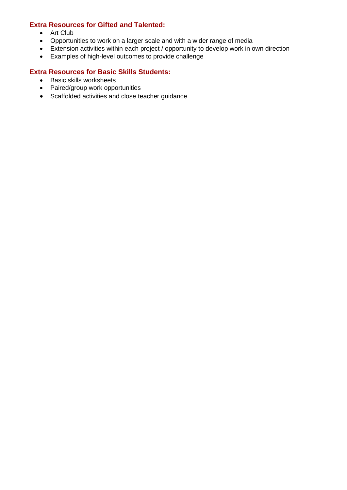# **Extra Resources for Gifted and Talented:**

- Art Club
- Opportunities to work on a larger scale and with a wider range of media
- Extension activities within each project / opportunity to develop work in own direction
- Examples of high-level outcomes to provide challenge

# **Extra Resources for Basic Skills Students:**

- Basic skills worksheets
- Paired/group work opportunities
- Scaffolded activities and close teacher guidance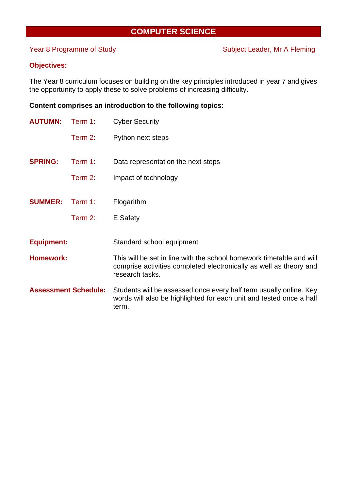# **COMPUTER SCIENCE**

Year 8 Programme of Study Subject Leader, Mr A Fleming

# **Objectives:**

The Year 8 curriculum focuses on building on the key principles introduced in year 7 and gives the opportunity to apply these to solve problems of increasing difficulty.

# **Content comprises an introduction to the following topics:**

| <b>AUTUMN:</b>              | Term 1:    | <b>Cyber Security</b>                                                                                                                                         |
|-----------------------------|------------|---------------------------------------------------------------------------------------------------------------------------------------------------------------|
|                             | Term 2:    | Python next steps                                                                                                                                             |
| <b>SPRING:</b>              | Term $1$ : | Data representation the next steps                                                                                                                            |
|                             | Term 2:    | Impact of technology                                                                                                                                          |
| <b>SUMMER:</b>              | Term 1:    | Flogarithm                                                                                                                                                    |
|                             | Term $2$ : | E Safety                                                                                                                                                      |
| <b>Equipment:</b>           |            | Standard school equipment                                                                                                                                     |
| <b>Homework:</b>            |            | This will be set in line with the school homework timetable and will<br>comprise activities completed electronically as well as theory and<br>research tasks. |
| <b>Assessment Schedule:</b> |            | Students will be assessed once every half term usually online. Key<br>words will also be highlighted for each unit and tested once a half<br>term.            |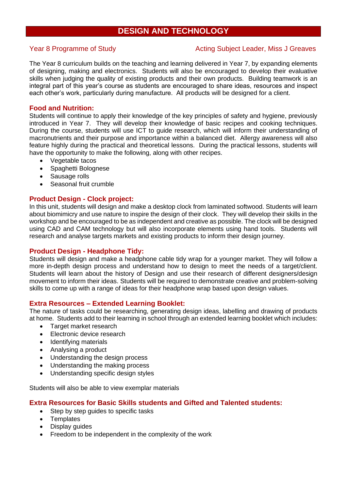# **DESIGN AND TECHNOLOGY**

# Year 8 Programme of Study Nearly Acting Subject Leader, Miss J Greaves

The Year 8 curriculum builds on the teaching and learning delivered in Year 7, by expanding elements of designing, making and electronics. Students will also be encouraged to develop their evaluative skills when judging the quality of existing products and their own products. Building teamwork is an integral part of this year's course as students are encouraged to share ideas, resources and inspect each other's work, particularly during manufacture. All products will be designed for a client.

# **Food and Nutrition:**

Students will continue to apply their knowledge of the key principles of safety and hygiene, previously introduced in Year 7. They will develop their knowledge of basic recipes and cooking techniques. During the course, students will use ICT to guide research, which will inform their understanding of macronutrients and their purpose and importance within a balanced diet. Allergy awareness will also feature highly during the practical and theoretical lessons. During the practical lessons, students will have the opportunity to make the following, along with other recipes.

- Vegetable tacos
- Spaghetti Bolognese
- Sausage rolls
- Seasonal fruit crumble

# **Product Design - Clock project:**

In this unit, students will design and make a desktop clock from laminated softwood. Students will learn about biomimicry and use nature to inspire the design of their clock. They will develop their skills in the workshop and be encouraged to be as independent and creative as possible. The clock will be designed using CAD and CAM technology but will also incorporate elements using hand tools. Students will research and analyse targets markets and existing products to inform their design journey.

# **Product Design - Headphone Tidy:**

Students will design and make a headphone cable tidy wrap for a younger market. They will follow a more in-depth design process and understand how to design to meet the needs of a target/client. Students will learn about the history of Design and use their research of different designers/design movement to inform their ideas. Students will be required to demonstrate creative and problem-solving skills to come up with a range of ideas for their headphone wrap based upon design values.

# **Extra Resources – Extended Learning Booklet:**

The nature of tasks could be researching, generating design ideas, labelling and drawing of products at home. Students add to their learning in school through an extended learning booklet which includes:

- Target market research
- Electronic device research
- Identifying materials
- Analysing a product
- Understanding the design process
- Understanding the making process
- Understanding specific design styles

Students will also be able to view exemplar materials

# **Extra Resources for Basic Skills students and Gifted and Talented students:**

- Step by step quides to specific tasks
- **Templates**
- Display guides
- Freedom to be independent in the complexity of the work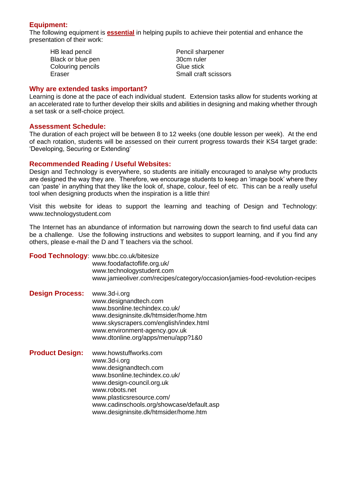# **Equipment:**

The following equipment is **essential** in helping pupils to achieve their potential and enhance the presentation of their work:

HB lead pencil **Pencil sharpener** Black or blue pen 30cm ruler Colouring pencils Glue stick

Eraser Small craft scissors

# **Why are extended tasks important?**

Learning is done at the pace of each individual student. Extension tasks allow for students working at an accelerated rate to further develop their skills and abilities in designing and making whether through a set task or a self-choice project.

# **Assessment Schedule:**

The duration of each project will be between 8 to 12 weeks (one double lesson per week). At the end of each rotation, students will be assessed on their current progress towards their KS4 target grade: 'Developing, Securing or Extending'

# **Recommended Reading / Useful Websites:**

Design and Technology is everywhere, so students are initially encouraged to analyse why products are designed the way they are. Therefore, we encourage students to keep an 'image book' where they can 'paste' in anything that they like the look of, shape, colour, feel of etc. This can be a really useful tool when designing products when the inspiration is a little thin!

Visit this website for ideas to support the learning and teaching of Design and Technology: www.technologystudent.com

The Internet has an abundance of information but narrowing down the search to find useful data can be a challenge. Use the following instructions and websites to support learning, and if you find any others, please e-mail the D and T teachers via the school.

**Food Technology**: [www.bbc.co.uk/bitesize](http://www.bbc.co.uk/bitesize) [www.foodafactoflife.org.uk/](http://www.foodafactoflife.org.uk/) [www.technologystudent.com](http://www.technologystudent.com/) [www.jamieoliver.com/recipes/category/occasion/jamies-food-revolution-r](http://www.jamieoliver.com/recipes/category/occasion/jamies-food-revolution-)ecipes

- **Design Process:** [www.3d-i.org](http://www.3d-i.org/) [www.designandtech.com](http://www.designandtech.com/) [www.bsonline.techindex.co.uk/](http://www.bsonline.techindex.co.uk/) [www.designinsite.dk/htmsider/home.htm](http://www.designinsite.dk/htmsider/home.htm) [www.skyscrapers.com/english/index.html](http://www.skyscrapers.com/english/index.html) [www.environment-agency.gov.uk](http://www.environment-agency.gov.uk/) [www.dtonline.org/apps/menu/app?1&0](http://www.dtonline.org/apps/menu/app?1&0)
- **Product Design:** [www.howstuffworks.com](http://www.howstuffworks.com/) [www.3d-i.org](http://www.3d-i.org/) [www.designandtech.com](http://www.designandtech.com/) [www.bsonline.techindex.co.uk/](http://www.bsonline.techindex.co.uk/) [www.design-council.org.uk](http://www.design-council.org.uk/) [www.robots.net](http://www.robots.net/) [www.plasticsresource.com/](http://www.plasticsresource.com/) [www.cadinschools.org/showcase/default.asp](http://www.cadinschools.org/showcase/default.asp) [www.designinsite.dk/htmsider/home.htm](http://www.designinsite.dk/htmsider/home.htm)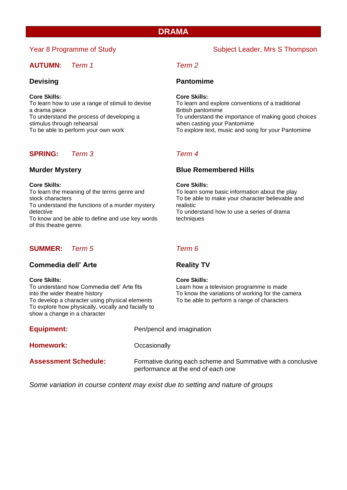# **DRAMA**

# **AUTUMN**: *Term 1 Term 2*

## **Core Skills: Core Skills:**

a drama piece British pantomime stimulus through rehearsal when casting your Pantomime<br>To be able to perform your own work To explore text, music and son

# **SPRING:** *Term 3 Term 4*

To understand the functions of a murder mystery realistic detective To understand how to use a series of drama To know and be able to define and use key words techniques of this theatre genre.

# **SUMMER:** *Term 5 Term 6*

# **Commedia dell' Arte Reality TV**

**Core Skills:**<br> **Core Skills:**<br>
To understand how Commedia dell' Arte fits
Learn how a To develop a character using physical elements To be able to perform a range of characters To explore how physically, vocally and facially to show a change in a character

Learn how a television programme is made into the wider theatre history To know the variations of working for the camera

| <b>Equipment:</b>           | Pen/pencil and imagination                                                                         |
|-----------------------------|----------------------------------------------------------------------------------------------------|
| Homework:                   | Occasionally                                                                                       |
| <b>Assessment Schedule:</b> | Formative during each scheme and Summative with a conclusive<br>performance at the end of each one |

*Some variation in course content may exist due to setting and nature of groups*

# **Devising Contract Contract Pantomime**

To learn how to use a range of stimuli to devise To learn and explore conventions of a traditional To understand the process of developing a To understand the importance of making good choices To explore text, music and song for your Pantomime

# **Murder Mystery Blue Remembered Hills**

## **Core Skills: Core Skills:**

To learn the meaning of the terms genre and To learn some basic information about the play stock characters To be able to make your character believable and

# Year 8 Programme of Study Subject Leader, Mrs S Thompson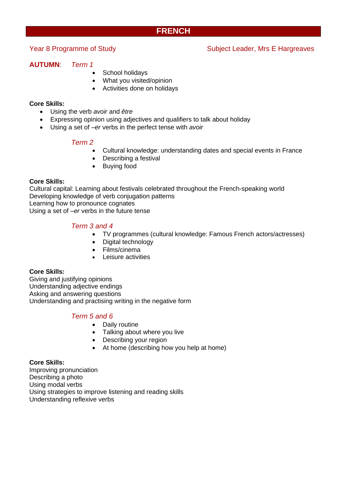# **FRENCH**

Year 8 Programme of Study Network Subject Leader, Mrs E Hargreaves

# **AUTUMN**: *Term 1*

- School holidays
- What you visited/opinion
- Activities done on holidays

# **Core Skills:**

- Using the verb *avoir* and *être*
- Expressing opinion using adjectives and qualifiers to talk about holiday
- Using a set of *–er* verbs in the perfect tense with *avoir*

# *Term 2*

- Cultural knowledge: understanding dates and special events in France
- Describing a festival
- Buying food

# **Core Skills:**

Cultural capital: Learning about festivals celebrated throughout the French-speaking world Developing knowledge of verb conjugation patterns Learning how to pronounce cognates Using a set of *–er* verbs in the future tense

# *Term 3 and 4*

- TV programmes (cultural knowledge: Famous French actors/actresses)
- Digital technology
- Films/cinema
- Leisure activities

# **Core Skills:**

Giving and justifying opinions Understanding adjective endings Asking and answering questions Understanding and practising writing in the negative form

# *Term 5 and 6*

- Daily routine
- Talking about where you live
- Describing your region
- At home (describing how you help at home)

# **Core Skills:**

Improving pronunciation Describing a photo Using modal verbs Using strategies to improve listening and reading skills Understanding reflexive verbs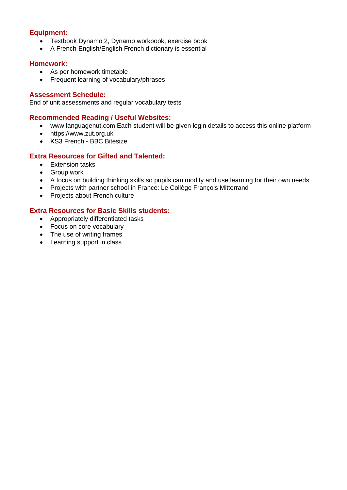# **Equipment:**

- Textbook Dynamo 2, Dynamo workbook, exercise book
- A French-English/English French dictionary is essential

# **Homework:**

- As per homework timetable
- Frequent learning of vocabulary/phrases

# **Assessment Schedule:**

End of unit assessments and regular vocabulary tests

# **Recommended Reading / Useful Websites:**

- www.languagenut.com Each student will be given login details to access this online platform
- https://www.zut.org.uk
- [KS3 French -](https://www.bbc.co.uk/bitesize/subjects/zgdqxnb) BBC Bitesize

# **Extra Resources for Gifted and Talented:**

- Extension tasks
- Group work
- A focus on building thinking skills so pupils can modify and use learning for their own needs
- Projects with partner school in France: Le Collège François Mitterrand
- Projects about French culture

# **Extra Resources for Basic Skills students:**

- Appropriately differentiated tasks
- Focus on core vocabulary
- The use of writing frames
- Learning support in class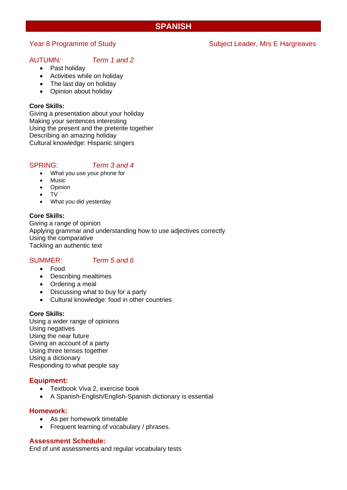# **SPANISH**

# AUTUMN*: Term 1 and 2*

- Past holiday
- Activities while on holiday
- The last day on holiday
- Opinion about holiday

# **Core Skills:**

Giving a presentation about your holiday Making your sentences interesting Using the present and the preterite together Describing an amazing holiday Cultural knowledge: Hispanic singers

# SPRING: *Term 3 and 4*

- What you use your phone for
- **Music**
- **Opinion**
- TV
- What you did yesterday

# **Core Skills:**

Giving a range of opinion Applying grammar and understanding how to use adjectives correctly Using the comparative Tackling an authentic text

# SUMMER: *Term 5 and 6*

- Food
- Describing mealtimes
- Ordering a meal
- Discussing what to buy for a party
- Cultural knowledge: food in other countries

# **Core Skills:**

Using a wider range of opinions Using negatives Using the near future Giving an account of a party Using three tenses together Using a dictionary Responding to what people say

# **Equipment:**

- Textbook Viva 2, exercise book
- A Spanish-English/English-Spanish dictionary is essential

# **Homework:**

- As per homework timetable
- Frequent learning of vocabulary / phrases.

# **Assessment Schedule:**

End of unit assessments and regular vocabulary tests

# Year 8 Programme of Study Network Subject Leader, Mrs E Hargreaves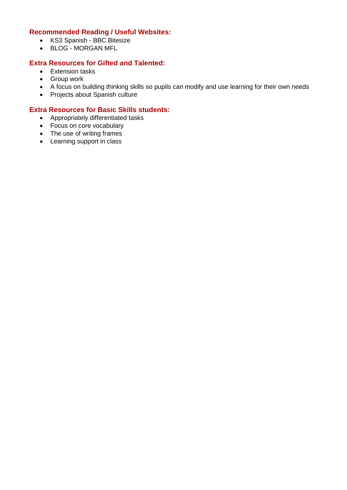# **Recommended Reading / Useful Websites:**

- [KS3 Spanish -](https://www.bbc.co.uk/bitesize/subjects/zfckjxs) BBC Bitesize
- BLOG [MORGAN MFL](https://www.morganmfl.com/blog/y7-spanish-revision)

# **Extra Resources for Gifted and Talented:**

- Extension tasks
- Group work
- A focus on building thinking skills so pupils can modify and use learning for their own needs
- Projects about Spanish culture

# **Extra Resources for Basic Skills students:**

- Appropriately differentiated tasks
- Focus on core vocabulary
- The use of writing frames
- Learning support in class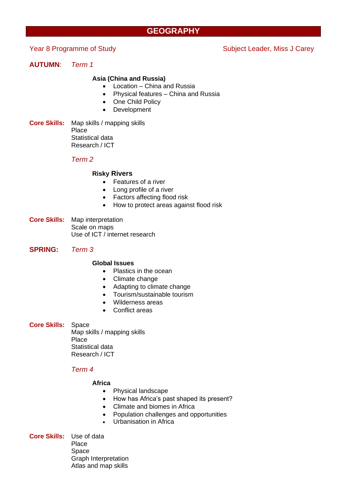# **GEOGRAPHY**

# Year 8 Programme of Study Subject Leader, Miss J Carey

# **AUTUMN**: *Term 1*

## **Asia (China and Russia)**

- Location China and Russia
- Physical features China and Russia
- One Child Policy
- Development
- **Core Skills:** Map skills / mapping skills Place Statistical data Research / ICT

# *Term 2*

## **Risky Rivers**

- Features of a river
- Long profile of a river
- Factors affecting flood risk
- How to protect areas against flood risk
- **Core Skills:** Map interpretation Scale on maps Use of ICT / internet research
- **SPRING:** *Term 3*

## **Global Issues**

- Plastics in the ocean
- Climate change
- Adapting to climate change
- Tourism/sustainable tourism
- Wilderness areas
- Conflict areas

## **Core Skills:** Space

Map skills / mapping skills Place Statistical data Research / ICT

# *Term 4*

# **Africa**

- Physical landscape
- How has Africa's past shaped its present?
- Climate and biomes in Africa
- Population challenges and opportunities
- Urbanisation in Africa

**Core Skills:** Use of data Place Space Graph Interpretation Atlas and map skills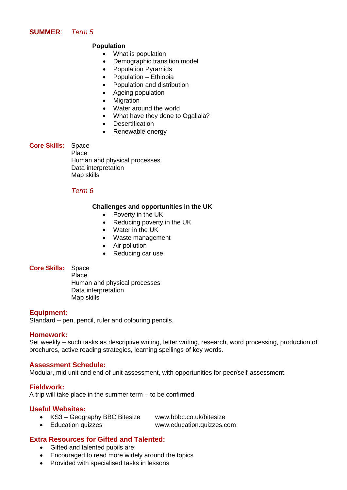# **SUMMER**: *Term 5*

# **Population**

- What is population
- Demographic transition model
- Population Pyramids
- Population Ethiopia
- Population and distribution
- Ageing population
- Migration
- Water around the world
- What have they done to Ogallala?
- Desertification
- Renewable energy

# **Core Skills:** Space

Place Human and physical processes Data interpretation Map skills

# *Term 6*

# **Challenges and opportunities in the UK**

- Poverty in the UK
- Reducing poverty in the UK
- Water in the UK
- Waste management
- Air pollution
- Reducing car use

# **Core Skills:** Space

Place Human and physical processes Data interpretation Map skills

# **Equipment:**

Standard – pen, pencil, ruler and colouring pencils.

# **Homework:**

Set weekly – such tasks as descriptive writing, letter writing, research, word processing, production of brochures, active reading strategies, learning spellings of key words.

# **Assessment Schedule:**

Modular, mid unit and end of unit assessment, with opportunities for peer/self-assessment.

# **Fieldwork:**

A trip will take place in the summer term – to be confirmed

# **Useful Websites:**

- KS3 Geography BBC Bitesize www.bbbc.co.uk/bitesize
- Education quizzes www.education.quizzes.com
	-

# **Extra Resources for Gifted and Talented:**

- Gifted and talented pupils are:
- Encouraged to read more widely around the topics
- Provided with specialised tasks in lessons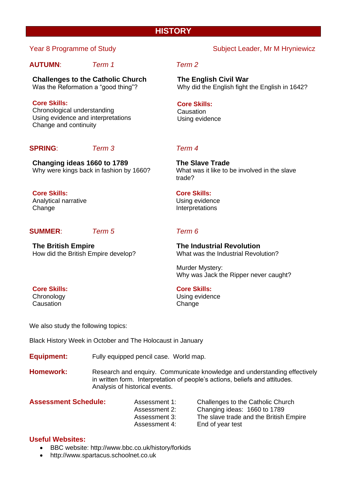# **HISTORY**

# **AUTUMN**: *Term 1 Term 2*

**Challenges to the Catholic Church** Was the Reformation a "good thing"?

**Core Skills:** Chronological understanding Using evidence and interpretations Change and continuity

# **SPRING**: *Term 3 Term 4*

**Changing ideas 1660 to 1789** Why were kings back in fashion by 1660?

**Core Skills:** Analytical narrative **Change** 

# **SUMMER**: *Term 5 Term 6*

**The British Empire** How did the British Empire develop?

# Year 8 Programme of Study Network Subject Leader, Mr M Hryniewicz

**The English Civil War** Why did the English fight the English in 1642?

# **Core Skills:**

**Causation** Using evidence

**The Slave Trade** What was it like to be involved in the slave trade?

# **Core Skills:**

Using evidence Interpretations

**The Industrial Revolution** What was the Industrial Revolution?

Murder Mystery: Why was Jack the Ripper never caught?

# **Core Skills:**

Using evidence **Change** 

We also study the following topics:

Black History Week in October and The Holocaust in January

- **Equipment:** Fully equipped pencil case. World map.
- **Homework:** Research and enquiry. Communicate knowledge and understanding effectively in written form. Interpretation of people's actions, beliefs and attitudes. Analysis of historical events.

**Assessment Schedule:** Assessment 1: Challenges to the Catholic Church Assessment 2: Changing ideas: 1660 to 1789 Assessment 3: The slave trade and the British Empire Assessment 4: End of year test

# **Useful Websites:**

- BBC website: http://www.bbc.co.uk/history/forkids
- http://www.spartacus.schoolnet.co.uk

# **Core Skills:**

**Chronology** Causation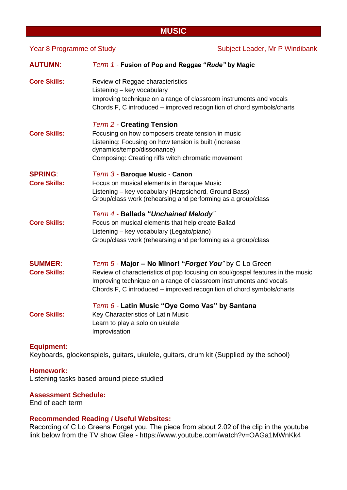# **MUSIC**

| Year 8 Programme of Study             |                                                                                                                                                                                                                                                                                        | Subject Leader, Mr P Windibank |  |
|---------------------------------------|----------------------------------------------------------------------------------------------------------------------------------------------------------------------------------------------------------------------------------------------------------------------------------------|--------------------------------|--|
| <b>AUTUMN:</b>                        | Term 1 - Fusion of Pop and Reggae "Rude" by Magic                                                                                                                                                                                                                                      |                                |  |
| <b>Core Skills:</b>                   | Review of Reggae characteristics<br>Listening - key vocabulary<br>Improving technique on a range of classroom instruments and vocals<br>Chords F, C introduced – improved recognition of chord symbols/charts                                                                          |                                |  |
| <b>Core Skills:</b>                   | <b>Term 2 - Creating Tension</b><br>Focusing on how composers create tension in music<br>Listening: Focusing on how tension is built (increase<br>dynamics/tempo/dissonance)<br>Composing: Creating riffs witch chromatic movement                                                     |                                |  |
| <b>SPRING:</b><br><b>Core Skills:</b> | Term 3 - Baroque Music - Canon<br>Focus on musical elements in Baroque Music<br>Listening - key vocabulary (Harpsichord, Ground Bass)<br>Group/class work (rehearsing and performing as a group/class                                                                                  |                                |  |
| <b>Core Skills:</b>                   | Term 4 - Ballads "Unchained Melody"<br>Focus on musical elements that help create Ballad<br>Listening - key vocabulary (Legato/piano)<br>Group/class work (rehearsing and performing as a group/class                                                                                  |                                |  |
| <b>SUMMER:</b><br><b>Core Skills:</b> | Term 5 - Major – No Minor! "Forget You" by C Lo Green<br>Review of characteristics of pop focusing on soul/gospel features in the music<br>Improving technique on a range of classroom instruments and vocals<br>Chords F, C introduced - improved recognition of chord symbols/charts |                                |  |
| <b>Core Skills:</b>                   | Term 6 - Latin Music "Oye Como Vas" by Santana<br>Key Characteristics of Latin Music<br>Learn to play a solo on ukulele<br>Improvisation                                                                                                                                               |                                |  |

# **Equipment:**

Keyboards, glockenspiels, guitars, ukulele, guitars, drum kit (Supplied by the school)

# **Homework:**

Listening tasks based around piece studied

# **Assessment Schedule:**

End of each term

# **Recommended Reading / Useful Websites:**

Recording of C Lo Greens Forget you. The piece from about 2.02'of the clip in the youtube link below from the TV show Glee - https://www.youtube.com/watch?v=OAGa1MWnKk4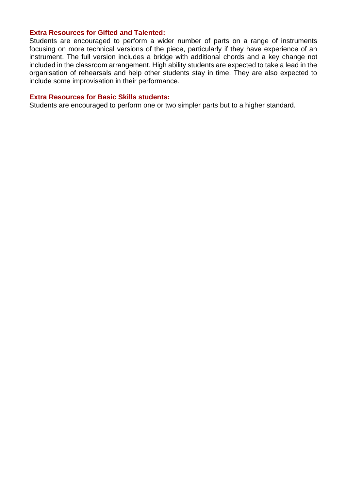# **Extra Resources for Gifted and Talented:**

Students are encouraged to perform a wider number of parts on a range of instruments focusing on more technical versions of the piece, particularly if they have experience of an instrument. The full version includes a bridge with additional chords and a key change not included in the classroom arrangement. High ability students are expected to take a lead in the organisation of rehearsals and help other students stay in time. They are also expected to include some improvisation in their performance.

# **Extra Resources for Basic Skills students:**

Students are encouraged to perform one or two simpler parts but to a higher standard.